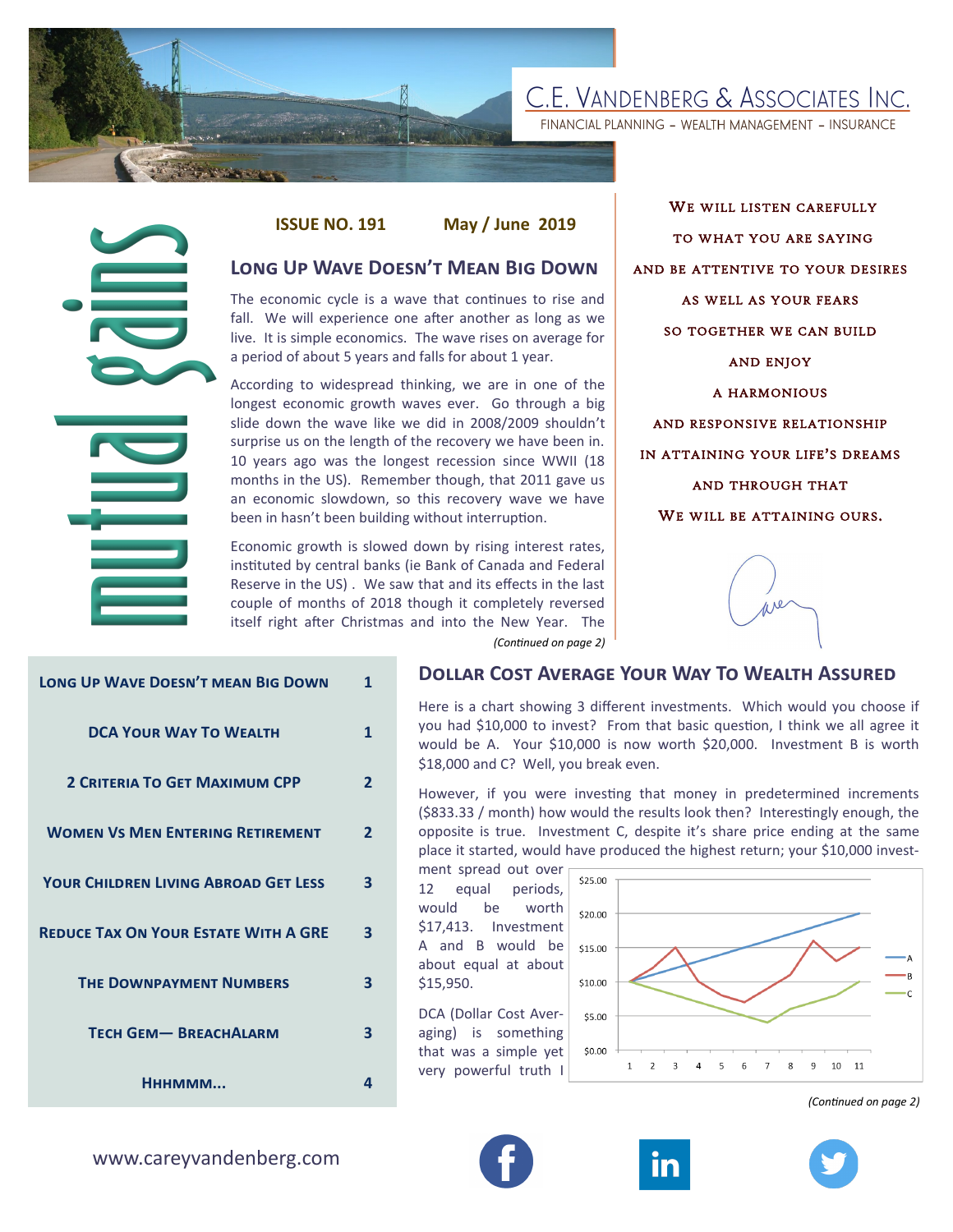

FINANCIAL PLANNING - WEALTH MANAGEMENT - INSURANCE

**ISSUE NO. 191 May / June 2019**

# **Long Up Wave Doesn't Mean Big Down**

The economic cycle is a wave that continues to rise and fall. We will experience one after another as long as we live. It is simple economics. The wave rises on average for a period of about 5 years and falls for about 1 year.

According to widespread thinking, we are in one of the longest economic growth waves ever. Go through a big slide down the wave like we did in 2008/2009 shouldn't surprise us on the length of the recovery we have been in. 10 years ago was the longest recession since WWII (18 months in the US). Remember though, that 2011 gave us an economic slowdown, so this recovery wave we have been in hasn't been building without interruption.

Economic growth is slowed down by rising interest rates, instituted by central banks (ie Bank of Canada and Federal Reserve in the US) . We saw that and its effects in the last couple of months of 2018 though it completely reversed itself right after Christmas and into the New Year. The *(Continued on page 2)*

WE WILL LISTEN CAREFULLY TO WHAT YOU ARE SAYING AND BE ATTENTIVE TO YOUR DESIRES AS WELL AS YOUR FEARS SO TOGETHER WE CAN BUILD AND ENJOY A HARMONIOUS AND RESPONSIVE RELATIONSHIP IN ATTAINING YOUR LIFE'S DREAMS AND THROUGH THAT WE WILL BE ATTAINING OURS.



| <b>LONG UP WAVE DOESN'T MEAN BIG DOWN</b>   | $\mathbf{1}$   |
|---------------------------------------------|----------------|
| <b>DCA YOUR WAY TO WEALTH</b>               | 1              |
| <b>2 CRITERIA TO GET MAXIMUM CPP</b>        | $\overline{2}$ |
| <b>WOMEN VS MEN ENTERING RETIREMENT</b>     | $\overline{2}$ |
| <b>YOUR CHILDREN LIVING ABROAD GET LESS</b> | 3              |
| <b>REDUCE TAX ON YOUR ESTATE WITH A GRE</b> | 3              |
| <b>THE DOWNPAYMENT NUMBERS</b>              | 3              |
| <b>TECH GEM-BREACHALARM</b>                 | 3              |
| Нннммм                                      | 4              |

#### **Dollar Cost Average Your Way To Wealth Assured**

Here is a chart showing 3 different investments. Which would you choose if you had \$10,000 to invest? From that basic question, I think we all agree it would be A. Your \$10,000 is now worth \$20,000. Investment B is worth \$18,000 and C? Well, you break even.

However, if you were investing that money in predetermined increments (\$833.33 / month) how would the results look then? Interestingly enough, the opposite is true. Investment C, despite it's share price ending at the same place it started, would have produced the highest return; your \$10,000 invest-

ment spread out over 12 equal periods, would be worth \$17,413. Investment A and B would be about equal at about \$15,950.

DCA (Dollar Cost Averaging) is something that was a simple yet very powerful truth I



*(Continued on page 2)*





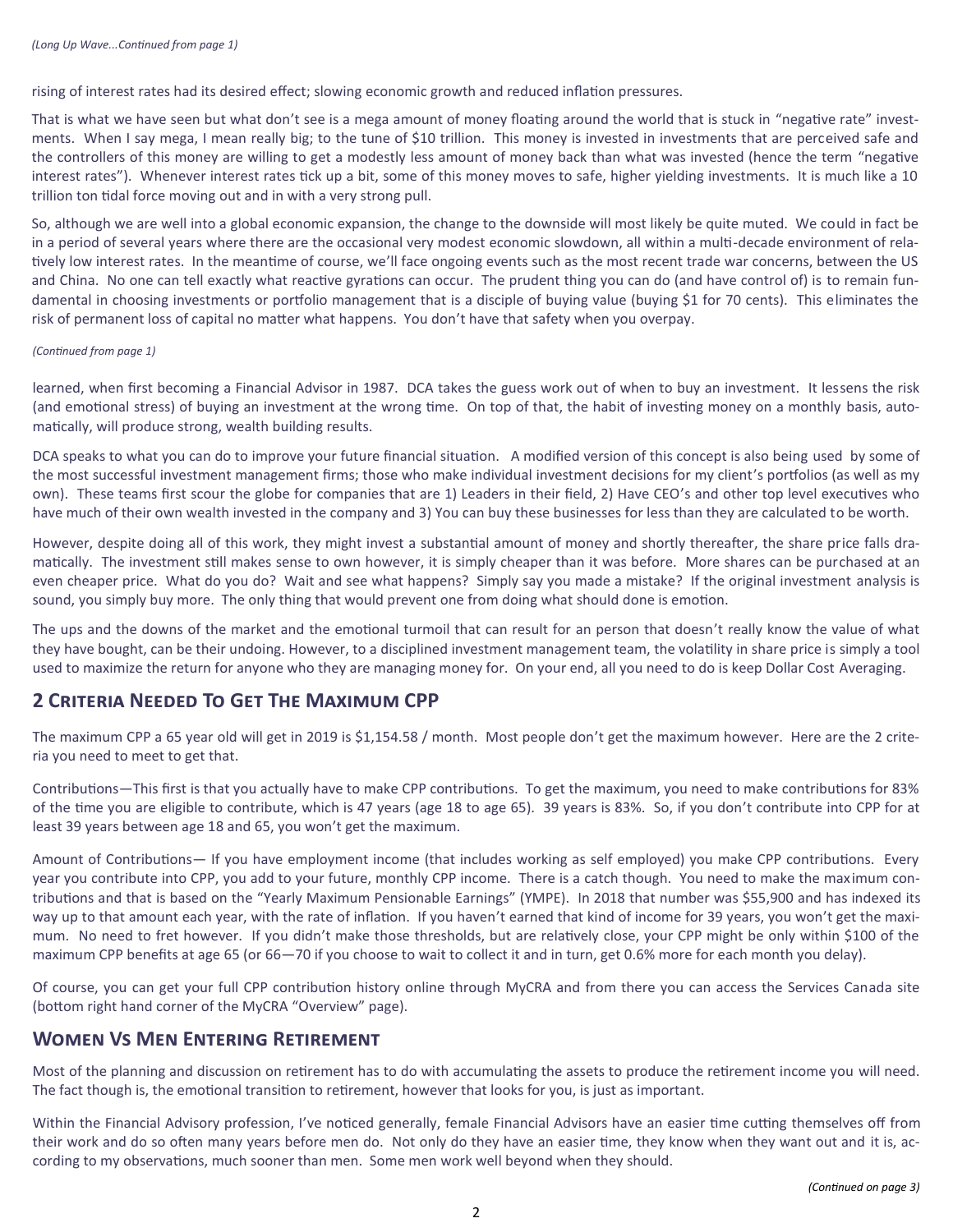rising of interest rates had its desired effect; slowing economic growth and reduced inflation pressures.

That is what we have seen but what don't see is a mega amount of money floating around the world that is stuck in "negative rate" investments. When I say mega, I mean really big; to the tune of \$10 trillion. This money is invested in investments that are perceived safe and the controllers of this money are willing to get a modestly less amount of money back than what was invested (hence the term "negative interest rates"). Whenever interest rates tick up a bit, some of this money moves to safe, higher yielding investments. It is much like a 10 trillion ton tidal force moving out and in with a very strong pull.

So, although we are well into a global economic expansion, the change to the downside will most likely be quite muted. We could in fact be in a period of several years where there are the occasional very modest economic slowdown, all within a multi-decade environment of relatively low interest rates. In the meantime of course, we'll face ongoing events such as the most recent trade war concerns, between the US and China. No one can tell exactly what reactive gyrations can occur. The prudent thing you can do (and have control of) is to remain fundamental in choosing investments or portfolio management that is a disciple of buying value (buying \$1 for 70 cents). This eliminates the risk of permanent loss of capital no matter what happens. You don't have that safety when you overpay.

#### *(Continued from page 1)*

learned, when first becoming a Financial Advisor in 1987. DCA takes the guess work out of when to buy an investment. It lessens the risk (and emotional stress) of buying an investment at the wrong time. On top of that, the habit of investing money on a monthly basis, automatically, will produce strong, wealth building results.

DCA speaks to what you can do to improve your future financial situation. A modified version of this concept is also being used by some of the most successful investment management firms; those who make individual investment decisions for my client's portfolios (as well as my own). These teams first scour the globe for companies that are 1) Leaders in their field, 2) Have CEO's and other top level executives who have much of their own wealth invested in the company and 3) You can buy these businesses for less than they are calculated to be worth.

However, despite doing all of this work, they might invest a substantial amount of money and shortly thereafter, the share price falls dramatically. The investment still makes sense to own however, it is simply cheaper than it was before. More shares can be purchased at an even cheaper price. What do you do? Wait and see what happens? Simply say you made a mistake? If the original investment analysis is sound, you simply buy more. The only thing that would prevent one from doing what should done is emotion.

The ups and the downs of the market and the emotional turmoil that can result for an person that doesn't really know the value of what they have bought, can be their undoing. However, to a disciplined investment management team, the volatility in share price is simply a tool used to maximize the return for anyone who they are managing money for. On your end, all you need to do is keep Dollar Cost Averaging.

# **2 Criteria Needed To Get The Maximum CPP**

The maximum CPP a 65 year old will get in 2019 is \$1,154.58 / month. Most people don't get the maximum however. Here are the 2 criteria you need to meet to get that.

Contributions—This first is that you actually have to make CPP contributions. To get the maximum, you need to make contributions for 83% of the time you are eligible to contribute, which is 47 years (age 18 to age 65). 39 years is 83%. So, if you don't contribute into CPP for at least 39 years between age 18 and 65, you won't get the maximum.

Amount of Contributions— If you have employment income (that includes working as self employed) you make CPP contributions. Every year you contribute into CPP, you add to your future, monthly CPP income. There is a catch though. You need to make the maximum contributions and that is based on the "Yearly Maximum Pensionable Earnings" (YMPE). In 2018 that number was \$55,900 and has indexed its way up to that amount each year, with the rate of inflation. If you haven't earned that kind of income for 39 years, you won't get the maximum. No need to fret however. If you didn't make those thresholds, but are relatively close, your CPP might be only within \$100 of the maximum CPP benefits at age 65 (or 66—70 if you choose to wait to collect it and in turn, get 0.6% more for each month you delay).

Of course, you can get your full CPP contribution history online through MyCRA and from there you can access the Services Canada site (bottom right hand corner of the MyCRA "Overview" page).

# **Women Vs Men Entering Retirement**

Most of the planning and discussion on retirement has to do with accumulating the assets to produce the retirement income you will need. The fact though is, the emotional transition to retirement, however that looks for you, is just as important.

Within the Financial Advisory profession, I've noticed generally, female Financial Advisors have an easier time cutting themselves off from their work and do so often many years before men do. Not only do they have an easier time, they know when they want out and it is, according to my observations, much sooner than men. Some men work well beyond when they should.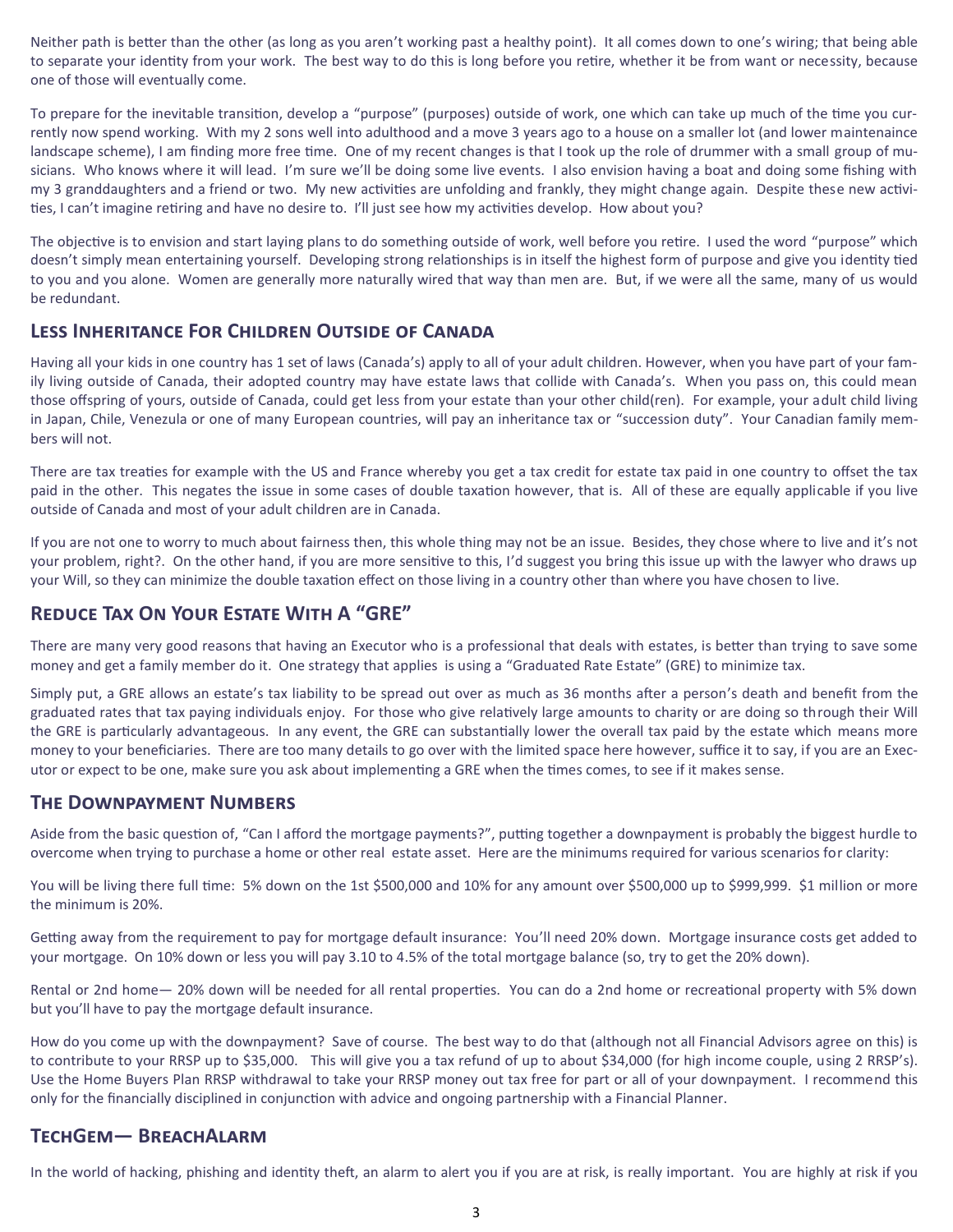Neither path is better than the other (as long as you aren't working past a healthy point). It all comes down to one's wiring; that being able to separate your identity from your work. The best way to do this is long before you retire, whether it be from want or necessity, because one of those will eventually come.

To prepare for the inevitable transition, develop a "purpose" (purposes) outside of work, one which can take up much of the time you currently now spend working. With my 2 sons well into adulthood and a move 3 years ago to a house on a smaller lot (and lower maintenaince landscape scheme), I am finding more free time. One of my recent changes is that I took up the role of drummer with a small group of musicians. Who knows where it will lead. I'm sure we'll be doing some live events. I also envision having a boat and doing some fishing with my 3 granddaughters and a friend or two. My new activities are unfolding and frankly, they might change again. Despite these new activities, I can't imagine retiring and have no desire to. I'll just see how my activities develop. How about you?

The objective is to envision and start laying plans to do something outside of work, well before you retire. I used the word "purpose" which doesn't simply mean entertaining yourself. Developing strong relationships is in itself the highest form of purpose and give you identity tied to you and you alone. Women are generally more naturally wired that way than men are. But, if we were all the same, many of us would be redundant.

# **Less Inheritance For Children Outside of Canada**

Having all your kids in one country has 1 set of laws (Canada's) apply to all of your adult children. However, when you have part of your family living outside of Canada, their adopted country may have estate laws that collide with Canada's. When you pass on, this could mean those offspring of yours, outside of Canada, could get less from your estate than your other child(ren). For example, your adult child living in Japan, Chile, Venezula or one of many European countries, will pay an inheritance tax or "succession duty". Your Canadian family members will not.

There are tax treaties for example with the US and France whereby you get a tax credit for estate tax paid in one country to offset the tax paid in the other. This negates the issue in some cases of double taxation however, that is. All of these are equally applicable if you live outside of Canada and most of your adult children are in Canada.

If you are not one to worry to much about fairness then, this whole thing may not be an issue. Besides, they chose where to live and it's not your problem, right?. On the other hand, if you are more sensitive to this, I'd suggest you bring this issue up with the lawyer who draws up your Will, so they can minimize the double taxation effect on those living in a country other than where you have chosen to live.

# **Reduce Tax On Your Estate With A "GRE"**

There are many very good reasons that having an Executor who is a professional that deals with estates, is better than trying to save some money and get a family member do it. One strategy that applies is using a "Graduated Rate Estate" (GRE) to minimize tax.

Simply put, a GRE allows an estate's tax liability to be spread out over as much as 36 months after a person's death and benefit from the graduated rates that tax paying individuals enjoy. For those who give relatively large amounts to charity or are doing so through their Will the GRE is particularly advantageous. In any event, the GRE can substantially lower the overall tax paid by the estate which means more money to your beneficiaries. There are too many details to go over with the limited space here however, suffice it to say, if you are an Executor or expect to be one, make sure you ask about implementing a GRE when the times comes, to see if it makes sense.

#### **The Downpayment Numbers**

Aside from the basic question of, "Can I afford the mortgage payments?", putting together a downpayment is probably the biggest hurdle to overcome when trying to purchase a home or other real estate asset. Here are the minimums required for various scenarios for clarity:

You will be living there full time: 5% down on the 1st \$500,000 and 10% for any amount over \$500,000 up to \$999,999. \$1 million or more the minimum is 20%.

Getting away from the requirement to pay for mortgage default insurance: You'll need 20% down. Mortgage insurance costs get added to your mortgage. On 10% down or less you will pay 3.10 to 4.5% of the total mortgage balance (so, try to get the 20% down).

Rental or 2nd home— 20% down will be needed for all rental properties. You can do a 2nd home or recreational property with 5% down but you'll have to pay the mortgage default insurance.

How do you come up with the downpayment? Save of course. The best way to do that (although not all Financial Advisors agree on this) is to contribute to your RRSP up to \$35,000. This will give you a tax refund of up to about \$34,000 (for high income couple, using 2 RRSP's). Use the Home Buyers Plan RRSP withdrawal to take your RRSP money out tax free for part or all of your downpayment. I recommend this only for the financially disciplined in conjunction with advice and ongoing partnership with a Financial Planner.

# **TechGem— BreachAlarm**

In the world of hacking, phishing and identity theft, an alarm to alert you if you are at risk, is really important. You are highly at risk if you